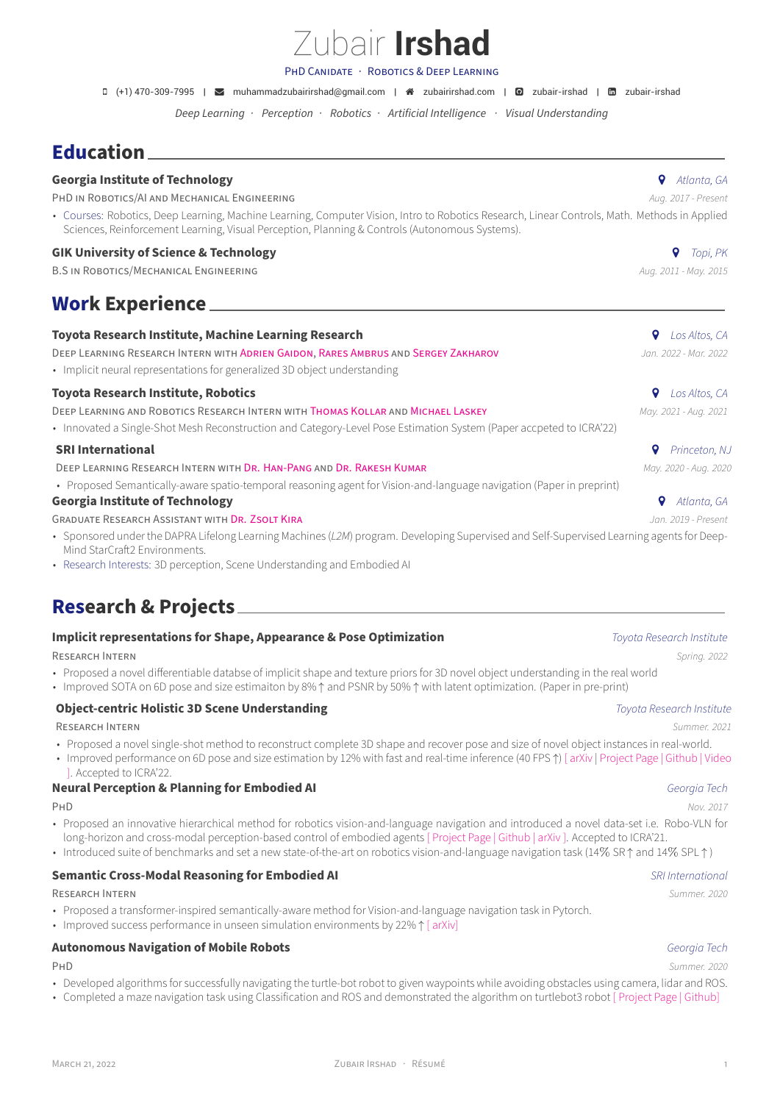# Zubair **Irshad**

PHD CANiDATE · ROBOTiCS & DEEP LEARNiNG

 $(+)$  470-309-7995 |  $\blacktriangleright$  [muhammadzubairirshad@gmail.com](mailto:muhammadzubairirshad@gmail.com) |  $\blacktriangleleft$  [zubairirshad.com](http://zubairirshad.com) |  $\blacktriangleright$  [zubair-irshad](https://www.linkedin.com/in/zubair-irshad) |  $\boxdot$  zubair-irshad

*Deep Learning · Perception · Robotics · Artificial Intelligence · Visual Understanding*

## **Education**

| <b>Georgia Institute of Technology</b>                                                                                                                                                                                                         | Q<br>Atlanta, GA      |
|------------------------------------------------------------------------------------------------------------------------------------------------------------------------------------------------------------------------------------------------|-----------------------|
| PHD IN ROBOTICS/AI AND MECHANICAL ENGINEERING                                                                                                                                                                                                  | Aug. 2017 - Present   |
| • Courses: Robotics, Deep Learning, Machine Learning, Computer Vision, Intro to Robotics Research, Linear Controls, Math. Methods in Applied<br>Sciences, Reinforcement Learning, Visual Perception, Planning & Controls (Autonomous Systems). |                       |
| <b>GIK University of Science &amp; Technology</b>                                                                                                                                                                                              | Topi, PK              |
| <b>B.S IN ROBOTICS/MECHANICAL ENGINEERING</b>                                                                                                                                                                                                  | Aug. 2011 - May. 2015 |
| <b>Work Experience_</b>                                                                                                                                                                                                                        |                       |
| Toyota Research Institute, Machine Learning Research                                                                                                                                                                                           | Los Altos, CA         |
| DEEP LEARNING RESEARCH INTERN WITH ADRIEN GAIDON, RARES AMBRUS AND SERGEY ZAKHAROV                                                                                                                                                             | Jan. 2022 - Mar. 2022 |
| • Implicit neural representations for generalized 3D object understanding                                                                                                                                                                      |                       |
| <b>Toyota Research Institute, Robotics</b>                                                                                                                                                                                                     | o<br>Los Altos, CA    |
| DEEP LEARNING AND ROBOTICS RESEARCH INTERN WITH THOMAS KOLLAR AND MICHAEL LASKEY                                                                                                                                                               | May. 2021 - Aug. 2021 |
| • Innovated a Single-Shot Mesh Reconstruction and Category-Level Pose Estimation System (Paper accpeted to ICRA'22)                                                                                                                            |                       |

## **SRI International**  *Princeton, NJ*

DEEP LEARNING RESEARCH INTERN WITH DR. HAN-PANG AND [DR. RAKESH KUMAR](https://www.sri.com/bios/rakesh-teddy-kumar/) **May. 2000 · Aug. 2020** · Aug. 2020 · Aug. 2020

• Proposed Semantically-aware spatio-temporal reasoning agent for Vision-and-language navigation (Paper in preprint)

### **Georgia Institute of Technology** *Atlanta, GA*

GRADUATE RESEARCH ASSiSTANT WiTH [DR. ZSOLT KiRA](https://www.cc.gatech.edu/~zk15/) *Jan. 2019 ‑ Present*

- Sponsored under the DAPRA Lifelong Learning Machines (L2M) program. Developing Supervised and Self-Supervised Learning agents for Deep-Mind StarCraft2 Environments.
- Research Interests: 3D perception, Scene Understanding and Embodied AI

## **Research & Projects**

## **Implicit representations for Shape, Appearance & Pose Optimization** *Toyota Research Institute*

RESEARCH INTERN *Spring. 2022*

- Proposed a novel differentiable databse of implicit shape and texture priors for 3D novel object understanding in the real world
- Improved SOTA on 6D pose and size estimaiton by 8% ↑ and PSNR by 50% ↑ with latent optimization. (Paper in pre‑print)

## **Object-centric Holistic 3D Scene Understanding** *Toyota Research Institute*

RESEARCH INTERN *Summer. 2021*

• Proposed a novel single-shot method to reconstruct complete 3D shape and recover pose and size of novel object instances in real-world.

### • Improved performance on 6D pose and size estimation by 12% with fast and real‑time inference (40 FPS ↑) [ [arXiv](https://arxiv.org/pdf/2203.01929.pdf) | [Project Page](https://zubair-irshad.github.io/projects/CenterSnap.html) | [Github](https://github.com/zubair-irshad/CenterSnap) | [Video](https://www.youtube.com/watch?v=Bg5vi6DSMdM) ]. Accepted to ICRA'22.

## **Neural Perception & Planning for Embodied AI** *Georgia Tech*

- Proposed an innovative hierarchical method for robotics vision-and-language navigation and introduced a novel data-set i.e. Robo-VLN for long-horizon and cross-modal perception-based control of embodied agents [ [Project Page](https://zubair-irshad.github.io/projects/robo-vln.html) | [Github](https://github.com/GT-RIPL/robo-vln) | [arXiv](https://arxiv.org/abs/2104.10674) ]. Accepted to ICRA'21.
- Introduced suite of benchmarks and set a new state-of-the-art on robotics vision-and-language navigation task (14% SR ↑ and 14% SPL ↑)

## **Semantic Cross-Modal Reasoning for Embodied AI** *SRI International**SRI International*

RESEARCH INTERN *Summer. 2020*

- Proposed a transformer-inspired semantically-aware method for Vision-and-language navigation task in Pytorch.
- Improved success performance in unseen simulation environments by 22% ↑ [ [arXiv\]](https://arxiv.org/abs/2108.11945)

## **Autonomous Navigation of Mobile Robots** *Georgia Tech*

- Developed algorithms for successfully navigating the turtle-bot robot to given waypoints while avoiding obstacles using camera, lidar and ROS.
- Completed a maze navigation task using Classification and ROS and demonstrated the algorithm on turtlebot3 robot [ [Project Page](https://zubairirshad.com/portfolio/maze_navigation/) | [Github](https://github.com/zubair-irshad/complex_maze_navigation)]

PHD *Nov. 2017*

### PHD *Summer. 2020*